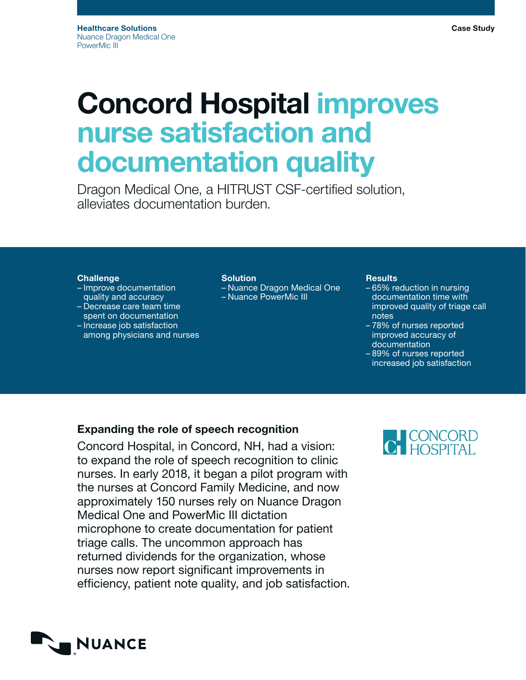# Concord Hospital improves nurse satisfaction and documentation quality

Dragon Medical One, a HITRUST CSF-certified solution, alleviates documentation burden.

# **Challenge**

- Improve documentation quality and accuracy
- Decrease care team time spent on documentation
- Increase job satisfaction among physicians and nurses

## Solution

– Nuance Dragon Medical One – Nuance PowerMic III

## **Results**

- 65% reduction in nursing documentation time with improved quality of triage call notes
- 78% of nurses reported improved accuracy of documentation
- 89% of nurses reported increased job satisfaction

# Expanding the role of speech recognition

Concord Hospital, in Concord, NH, had a vision: to expand the role of speech recognition to clinic nurses. In early 2018, it began a pilot program with the nurses at Concord Family Medicine, and now approximately 150 nurses rely on Nuance Dragon Medical One and PowerMic III dictation microphone to create documentation for patient triage calls. The uncommon approach has returned dividends for the organization, whose nurses now report significant improvements in efficiency, patient note quality, and job satisfaction.



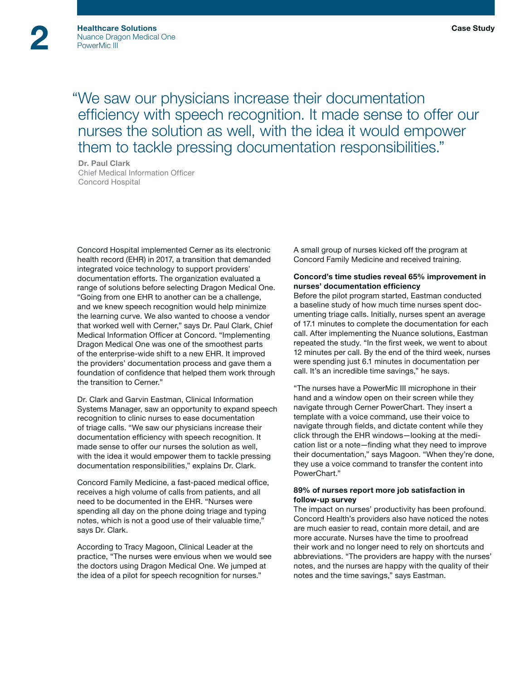"We saw our physicians increase their documentation efficiency with speech recognition. It made sense to offer our nurses the solution as well, with the idea it would empower them to tackle pressing documentation responsibilities."

Dr. Paul Clark Chief Medical Information Officer Concord Hospital

Concord Hospital implemented Cerner as its electronic health record (EHR) in 2017, a transition that demanded integrated voice technology to support providers' documentation efforts. The organization evaluated a range of solutions before selecting Dragon Medical One. "Going from one EHR to another can be a challenge, and we knew speech recognition would help minimize the learning curve. We also wanted to choose a vendor that worked well with Cerner," says Dr. Paul Clark, Chief Medical Information Officer at Concord. "Implementing Dragon Medical One was one of the smoothest parts of the enterprise-wide shift to a new EHR. It improved the providers' documentation process and gave them a foundation of confidence that helped them work through the transition to Cerner."

Dr. Clark and Garvin Eastman, Clinical Information Systems Manager, saw an opportunity to expand speech recognition to clinic nurses to ease documentation of triage calls. "We saw our physicians increase their documentation efficiency with speech recognition. It made sense to offer our nurses the solution as well, with the idea it would empower them to tackle pressing documentation responsibilities," explains Dr. Clark.

Concord Family Medicine, a fast-paced medical office, receives a high volume of calls from patients, and all need to be documented in the EHR. "Nurses were spending all day on the phone doing triage and typing notes, which is not a good use of their valuable time," says Dr. Clark.

According to Tracy Magoon, Clinical Leader at the practice, "The nurses were envious when we would see the doctors using Dragon Medical One. We jumped at the idea of a pilot for speech recognition for nurses."

A small group of nurses kicked off the program at Concord Family Medicine and received training.

## Concord's time studies reveal 65% improvement in nurses' documentation efficiency

Before the pilot program started, Eastman conducted a baseline study of how much time nurses spent documenting triage calls. Initially, nurses spent an average of 17.1 minutes to complete the documentation for each call. After implementing the Nuance solutions, Eastman repeated the study. "In the first week, we went to about 12 minutes per call. By the end of the third week, nurses were spending just 6.1 minutes in documentation per call. It's an incredible time savings," he says.

"The nurses have a PowerMic III microphone in their hand and a window open on their screen while they navigate through Cerner PowerChart. They insert a template with a voice command, use their voice to navigate through fields, and dictate content while they click through the EHR windows—looking at the medication list or a note—finding what they need to improve their documentation," says Magoon. "When they're done, they use a voice command to transfer the content into PowerChart."

## 89% of nurses report more job satisfaction in follow-up survey

The impact on nurses' productivity has been profound. Concord Health's providers also have noticed the notes are much easier to read, contain more detail, and are more accurate. Nurses have the time to proofread their work and no longer need to rely on shortcuts and abbreviations. "The providers are happy with the nurses' notes, and the nurses are happy with the quality of their notes and the time savings," says Eastman.